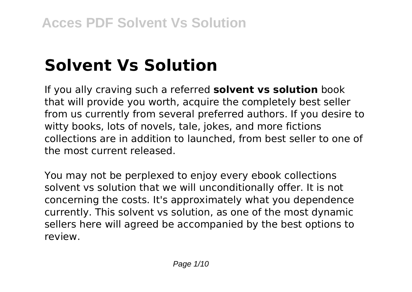# **Solvent Vs Solution**

If you ally craving such a referred **solvent vs solution** book that will provide you worth, acquire the completely best seller from us currently from several preferred authors. If you desire to witty books, lots of novels, tale, jokes, and more fictions collections are in addition to launched, from best seller to one of the most current released.

You may not be perplexed to enjoy every ebook collections solvent vs solution that we will unconditionally offer. It is not concerning the costs. It's approximately what you dependence currently. This solvent vs solution, as one of the most dynamic sellers here will agreed be accompanied by the best options to review.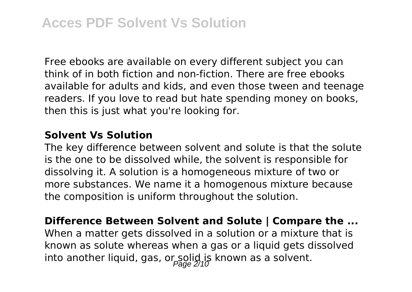Free ebooks are available on every different subject you can think of in both fiction and non-fiction. There are free ebooks available for adults and kids, and even those tween and teenage readers. If you love to read but hate spending money on books, then this is just what you're looking for.

#### **Solvent Vs Solution**

The key difference between solvent and solute is that the solute is the one to be dissolved while, the solvent is responsible for dissolving it. A solution is a homogeneous mixture of two or more substances. We name it a homogenous mixture because the composition is uniform throughout the solution.

**Difference Between Solvent and Solute | Compare the ...** When a matter gets dissolved in a solution or a mixture that is known as solute whereas when a gas or a liquid gets dissolved into another liquid, gas, or solid, is known as a solvent.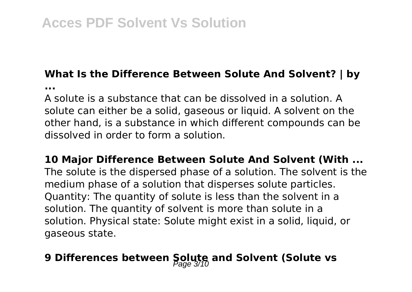# **What Is the Difference Between Solute And Solvent? | by**

**...**

A solute is a substance that can be dissolved in a solution. A solute can either be a solid, gaseous or liquid. A solvent on the other hand, is a substance in which different compounds can be dissolved in order to form a solution.

**10 Major Difference Between Solute And Solvent (With ...** The solute is the dispersed phase of a solution. The solvent is the medium phase of a solution that disperses solute particles. Quantity: The quantity of solute is less than the solvent in a solution. The quantity of solvent is more than solute in a solution. Physical state: Solute might exist in a solid, liquid, or gaseous state.

# **9 Differences between Solute and Solvent (Solute vs**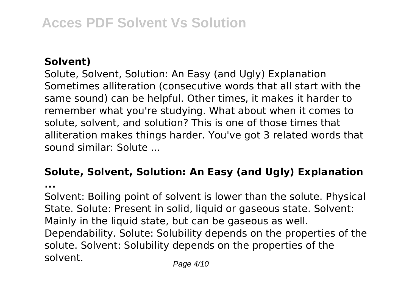# **Solvent)**

Solute, Solvent, Solution: An Easy (and Ugly) Explanation Sometimes alliteration (consecutive words that all start with the same sound) can be helpful. Other times, it makes it harder to remember what you're studying. What about when it comes to solute, solvent, and solution? This is one of those times that alliteration makes things harder. You've got 3 related words that sound similar: Solute ...

### **Solute, Solvent, Solution: An Easy (and Ugly) Explanation ...**

Solvent: Boiling point of solvent is lower than the solute. Physical State. Solute: Present in solid, liquid or gaseous state. Solvent: Mainly in the liquid state, but can be gaseous as well. Dependability. Solute: Solubility depends on the properties of the solute. Solvent: Solubility depends on the properties of the solvent. Page 4/10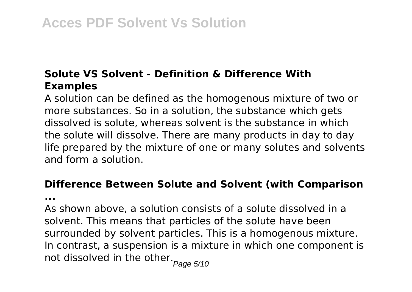# **Solute VS Solvent - Definition & Difference With Examples**

A solution can be defined as the homogenous mixture of two or more substances. So in a solution, the substance which gets dissolved is solute, whereas solvent is the substance in which the solute will dissolve. There are many products in day to day life prepared by the mixture of one or many solutes and solvents and form a solution.

# **Difference Between Solute and Solvent (with Comparison**

**...**

As shown above, a solution consists of a solute dissolved in a solvent. This means that particles of the solute have been surrounded by solvent particles. This is a homogenous mixture. In contrast, a suspension is a mixture in which one component is not dissolved in the other.<br> $P_{\text{age 5/10}}$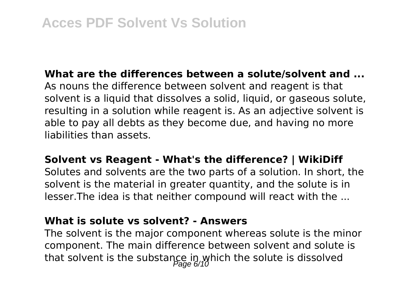**What are the differences between a solute/solvent and ...** As nouns the difference between solvent and reagent is that solvent is a liquid that dissolves a solid, liquid, or gaseous solute, resulting in a solution while reagent is. As an adjective solvent is able to pay all debts as they become due, and having no more liabilities than assets.

#### **Solvent vs Reagent - What's the difference? | WikiDiff**

Solutes and solvents are the two parts of a solution. In short, the solvent is the material in greater quantity, and the solute is in lesser.The idea is that neither compound will react with the ...

### **What is solute vs solvent? - Answers**

The solvent is the major component whereas solute is the minor component. The main difference between solvent and solute is that solvent is the substance in which the solute is dissolved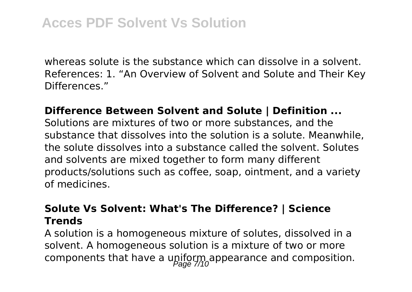whereas solute is the substance which can dissolve in a solvent. References: 1. "An Overview of Solvent and Solute and Their Key Differences."

## **Difference Between Solvent and Solute | Definition ...**

Solutions are mixtures of two or more substances, and the substance that dissolves into the solution is a solute. Meanwhile, the solute dissolves into a substance called the solvent. Solutes and solvents are mixed together to form many different products/solutions such as coffee, soap, ointment, and a variety of medicines.

# **Solute Vs Solvent: What's The Difference? | Science Trends**

A solution is a homogeneous mixture of solutes, dissolved in a solvent. A homogeneous solution is a mixture of two or more components that have a upiform appearance and composition.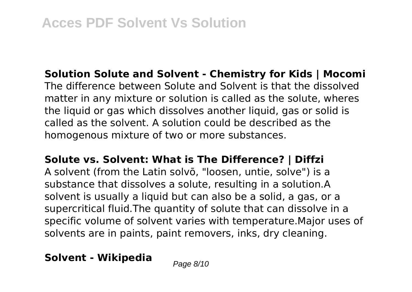**Solution Solute and Solvent - Chemistry for Kids | Mocomi** The difference between Solute and Solvent is that the dissolved matter in any mixture or solution is called as the solute, wheres the liquid or gas which dissolves another liquid, gas or solid is called as the solvent. A solution could be described as the homogenous mixture of two or more substances.

**Solute vs. Solvent: What is The Difference? | Diffzi**

A solvent (from the Latin solvō, "loosen, untie, solve") is a substance that dissolves a solute, resulting in a solution.A solvent is usually a liquid but can also be a solid, a gas, or a supercritical fluid.The quantity of solute that can dissolve in a specific volume of solvent varies with temperature.Major uses of solvents are in paints, paint removers, inks, dry cleaning.

**Solvent - Wikipedia** Page 8/10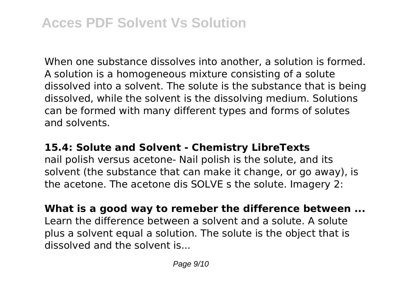When one substance dissolves into another, a solution is formed. A solution is a homogeneous mixture consisting of a solute dissolved into a solvent. The solute is the substance that is being dissolved, while the solvent is the dissolving medium. Solutions can be formed with many different types and forms of solutes and solvents.

# **15.4: Solute and Solvent - Chemistry LibreTexts**

nail polish versus acetone- Nail polish is the solute, and its solvent (the substance that can make it change, or go away), is the acetone. The acetone dis SOLVE s the solute. Imagery 2:

**What is a good way to remeber the difference between ...** Learn the difference between a solvent and a solute. A solute plus a solvent equal a solution. The solute is the object that is dissolved and the solvent is...